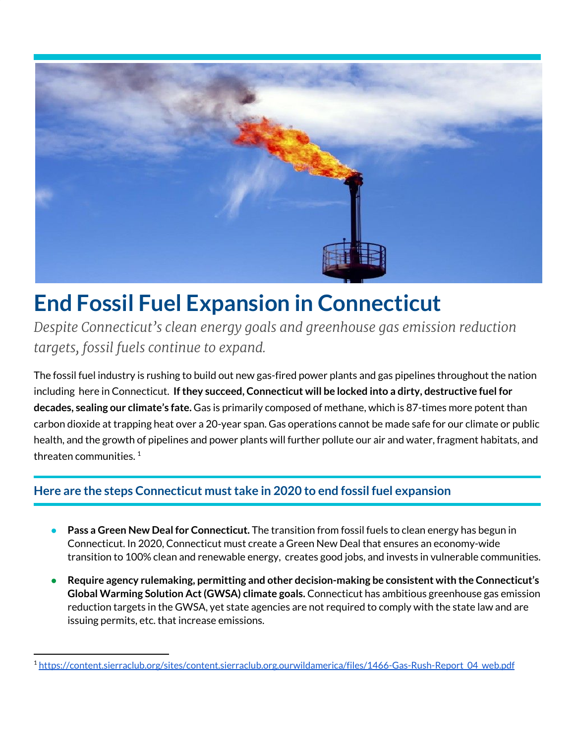

## **End Fossil Fuel Expansion in Connecticut**

*Despite Connecticut's clean energy goals and greenhouse gas emission reduction targets, fossil fuels continue to expand.*

The fossil fuel industry is rushing to build out new gas-fired power plants and gas pipelines throughout the nation including here in Connecticut. **Ifthey succeed, Connecticut will be locked into a dirty, destructive fuel for decades, sealing our climate's fate.** Gas is primarily composed of methane, which is 87-times more potent than carbon dioxide at trapping heat over a 20-year span. Gas operations cannot be made safe for our climate or public health, and the growth of pipelines and power plants will further pollute our air and water, fragment habitats, and threaten communities.  $^{\rm 1}$ 

## **Here are the steps Connecticut musttake in 2020 to end fossil fuel expansion**

- **● Pass a Green New Deal for Connecticut.** The transition from fossil fuels to clean energy has begun in Connecticut. In 2020, Connecticut must create a Green New Deal that ensures an economy-wide transition to 100% clean and renewable energy, creates good jobs, and invests in vulnerable communities.
- **● Require agency rulemaking, permitting and other decision-making be consistent with the Connecticut's Global Warming Solution Act(GWSA) climate goals.** Connecticut has ambitious greenhouse gas emission reduction targets in the GWSA, yet state agencies are not required to comply with the state law and are issuing permits, etc. that increase emissions.

<sup>1</sup> [https://content.sierraclub.org/sites/content.sierraclub.org.ourwildamerica/files/1466-Gas-Rush-Report\\_04\\_web.pdf](https://content.sierraclub.org/sites/content.sierraclub.org.ourwildamerica/files/1466-Gas-Rush-Report_04_web.pdf)